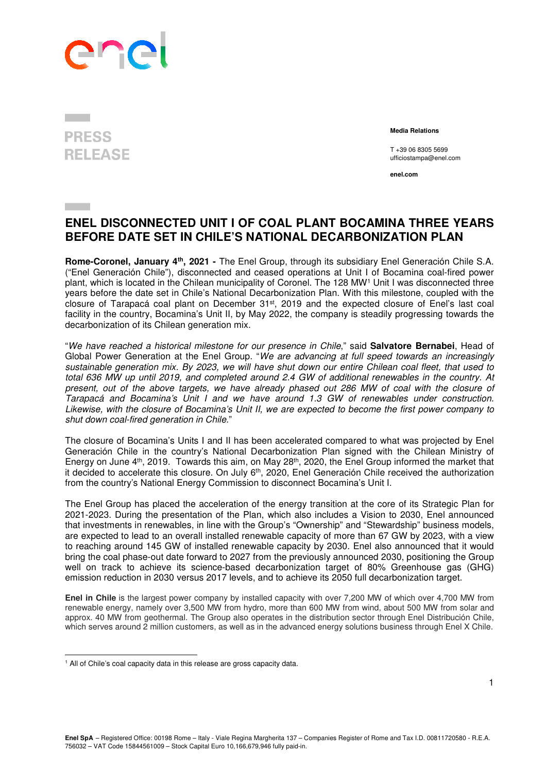## **PRESS RELEASE**

 **Media Relations** 

T +39 06 8305 5699 ufficiostampa@enel.com

**enel.com**

## **ENEL DISCONNECTED UNIT I OF COAL PLANT BOCAMINA THREE YEARS BEFORE DATE SET IN CHILE'S NATIONAL DECARBONIZATION PLAN**

**Rome-Coronel, January 4th, 2021 -** The Enel Group, through its subsidiary Enel Generación Chile S.A. ("Enel Generación Chile"), disconnected and ceased operations at Unit I of Bocamina coal-fired power plant, which is located in the Chilean municipality of Coronel. The 128 MW<sup>1</sup> Unit I was disconnected three years before the date set in Chile's National Decarbonization Plan. With this milestone, coupled with the closure of Tarapacá coal plant on December 31st, 2019 and the expected closure of Enel's last coal facility in the country, Bocamina's Unit II, by May 2022, the company is steadily progressing towards the decarbonization of its Chilean generation mix.

"We have reached a historical milestone for our presence in Chile," said **Salvatore Bernabei**, Head of Global Power Generation at the Enel Group. "We are advancing at full speed towards an increasingly sustainable generation mix. By 2023, we will have shut down our entire Chilean coal fleet, that used to total 636 MW up until 2019, and completed around 2.4 GW of additional renewables in the country. At present, out of the above targets, we have already phased out 286 MW of coal with the closure of Tarapacá and Bocamina's Unit I and we have around 1.3 GW of renewables under construction. Likewise, with the closure of Bocamina's Unit II, we are expected to become the first power company to shut down coal-fired generation in Chile."

The closure of Bocamina's Units I and II has been accelerated compared to what was projected by Enel Generación Chile in the country's National Decarbonization Plan signed with the Chilean Ministry of Energy on June 4<sup>th</sup>, 2019. Towards this aim, on May 28<sup>th</sup>, 2020, the Enel Group informed the market that it decided to accelerate this closure. On July 6th, 2020, Enel Generación Chile received the authorization from the country's National Energy Commission to disconnect Bocamina's Unit I.

The Enel Group has placed the acceleration of the energy transition at the core of its Strategic Plan for 2021-2023. During the presentation of the Plan, which also includes a Vision to 2030, Enel announced that investments in renewables, in line with the Group's "Ownership" and "Stewardship" business models, are expected to lead to an overall installed renewable capacity of more than 67 GW by 2023, with a view to reaching around 145 GW of installed renewable capacity by 2030. Enel also announced that it would bring the coal phase-out date forward to 2027 from the previously announced 2030, positioning the Group well on track to achieve its science-based decarbonization target of 80% Greenhouse gas (GHG) emission reduction in 2030 versus 2017 levels, and to achieve its 2050 full decarbonization target.

**Enel in Chile** is the largest power company by installed capacity with over 7,200 MW of which over 4,700 MW from renewable energy, namely over 3,500 MW from hydro, more than 600 MW from wind, about 500 MW from solar and approx. 40 MW from geothermal. The Group also operates in the distribution sector through Enel Distribución Chile, which serves around 2 million customers, as well as in the advanced energy solutions business through Enel X Chile.

l

<sup>&</sup>lt;sup>1</sup> All of Chile's coal capacity data in this release are gross capacity data.